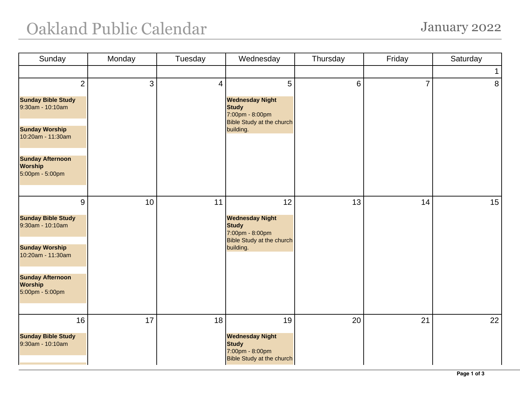## Oakland Public Calendar January 2022

| Sunday                                                       | Monday | Tuesday | Wednesday                                                                                                  | Thursday | Friday         | Saturday       |
|--------------------------------------------------------------|--------|---------|------------------------------------------------------------------------------------------------------------|----------|----------------|----------------|
|                                                              |        |         |                                                                                                            |          |                | $\mathbf 1$    |
| $\overline{2}$                                               | 3      | 4       | 5                                                                                                          | 6        | $\overline{7}$ | 8 <sup>1</sup> |
| <b>Sunday Bible Study</b><br>9:30am - 10:10am                |        |         | <b>Wednesday Night</b><br><b>Study</b><br>7:00pm - 8:00pm<br><b>Bible Study at the church</b><br>building. |          |                |                |
| <b>Sunday Worship</b><br>10:20am - 11:30am                   |        |         |                                                                                                            |          |                |                |
| <b>Sunday Afternoon</b><br><b>Worship</b><br>5:00pm - 5:00pm |        |         |                                                                                                            |          |                |                |
| 9                                                            | 10     | 11      | 12                                                                                                         | 13       | 14             | 15             |
| <b>Sunday Bible Study</b><br>9:30am - 10:10am                |        |         | <b>Wednesday Night</b><br><b>Study</b><br>7:00pm - 8:00pm<br><b>Bible Study at the church</b>              |          |                |                |
| <b>Sunday Worship</b><br>10:20am - 11:30am                   |        |         | building.                                                                                                  |          |                |                |
| <b>Sunday Afternoon</b><br><b>Worship</b><br>5:00pm - 5:00pm |        |         |                                                                                                            |          |                |                |
| 16                                                           | 17     | 18      | 19                                                                                                         | 20       | 21             | 22             |
| <b>Sunday Bible Study</b><br>9:30am - 10:10am                |        |         | <b>Wednesday Night</b><br><b>Study</b><br>7:00pm - 8:00pm<br><b>Bible Study at the church</b>              |          |                |                |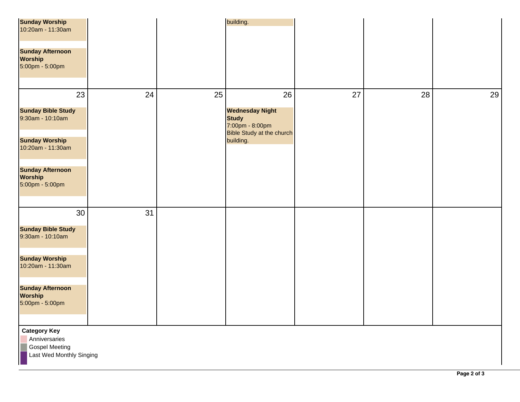| <b>Sunday Worship</b><br>10:20am - 11:30am                                                |    |    | building.                                                                                     |    |    |    |  |  |  |
|-------------------------------------------------------------------------------------------|----|----|-----------------------------------------------------------------------------------------------|----|----|----|--|--|--|
| <b>Sunday Afternoon</b><br><b>Worship</b><br>5:00pm - 5:00pm                              |    |    |                                                                                               |    |    |    |  |  |  |
| 23                                                                                        | 24 | 25 | 26                                                                                            | 27 | 28 | 29 |  |  |  |
| <b>Sunday Bible Study</b><br>9:30am - 10:10am                                             |    |    | <b>Wednesday Night</b><br><b>Study</b><br>7:00pm - 8:00pm<br><b>Bible Study at the church</b> |    |    |    |  |  |  |
| <b>Sunday Worship</b><br>10:20am - 11:30am                                                |    |    | building.                                                                                     |    |    |    |  |  |  |
| <b>Sunday Afternoon</b><br><b>Worship</b><br>5:00pm - 5:00pm                              |    |    |                                                                                               |    |    |    |  |  |  |
| 30                                                                                        | 31 |    |                                                                                               |    |    |    |  |  |  |
| <b>Sunday Bible Study</b><br>9:30am - 10:10am                                             |    |    |                                                                                               |    |    |    |  |  |  |
| <b>Sunday Worship</b><br>10:20am - 11:30am                                                |    |    |                                                                                               |    |    |    |  |  |  |
| <b>Sunday Afternoon</b><br><b>Worship</b><br>5:00pm - 5:00pm                              |    |    |                                                                                               |    |    |    |  |  |  |
| <b>Category Key</b><br>Anniversaries<br><b>Gospel Meeting</b><br>Last Wed Monthly Singing |    |    |                                                                                               |    |    |    |  |  |  |